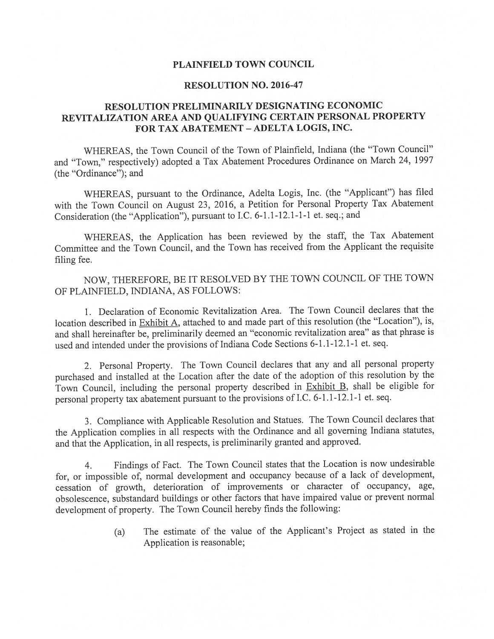## PLAINFIELD TOWN COUNCIL

### RESOLUTION NO. 2016-47

## RESOLUTION PRELIMINARILY DESIGNATING ECONOMIC REVITALIZATION AREA AND QUALIFYING CERTAIN PERSONAL PROPERTY FOR TAX ABATEMENT - ADELTA LOGIS, INC.

WHEREAS, the Town Council of the Town of Plainfield, Indiana (the "Town Council" and "Town," respectively) adopted <sup>a</sup> Tax Abatement Procedures Ordinance on March 24, <sup>1997</sup> (the "Ordinance"); and

WHEREAS, pursuan<sup>t</sup> to the Ordinance, Adelta Logis, Inc. (the "Applicant") has filed with the Town Council on August 23, 2016, <sup>a</sup> Petition for Personal Property Tax Abatement Consideration (the "Application"), pursuan<sup>t</sup> to I.C. 6-1.1-12.1-1-1 et. seq.; and

WHEREAS, the Application has been reviewed by the staff, the Tax Abatement Committee and the Town Council, and the Town has received from the Applicant the requisite filing fee.

NOW, THEREFORE, BE IT RESOLVED BY THE TOWN COUNCIL OF THE TOWN OF PLAINFIELD, INDIANA, AS FOLLOWS:

1. Declaration of Economic Revitalization Area. The Town Council declares that the location described in Exhibit A, attached to and made par<sup>t</sup> of this resolution (the "Location"), is, and shall hereinafier be, preliminarily deemed an "economic revitalization area" as that <sup>p</sup>hrase is used and intended under the provisions of Indiana Code Sections 6-1.1-12.1-1 et. seq.

2. Personal Property. The Town Council declares that any and all persona<sup>l</sup> property purchased and installed at the Location after the date of the adoption of this resolution by the Town Council, including the persona<sup>l</sup> property described in Exhibit B, shall be eligible for persona<sup>l</sup> property tax abatement pursuan<sup>t</sup> to the provisions of I.C. 6-1.1-12.1-1 et. seq.

3. Compliance with Applicable Resolution and Statues. The Town Council declares that the Application complies in all respects with the Ordinance and all governing Indiana statutes, and that the Application, in all respects, is preliminarily granted and approved.

4. Findings of Fact. The Town Council states that the Location is now undesirable for, or impossible of, normal development and occupancy because of <sup>a</sup> lack of development, cessation of growth, deterioration of improvements or character of occupancy, age, obsolescence, substandard buildings or other factors that have impaired value or preven<sup>t</sup> normal development of property. The Town Council hereby finds the following:

> (a) The estimate of the value of the Applicant's Project as stated in the Application is reasonable;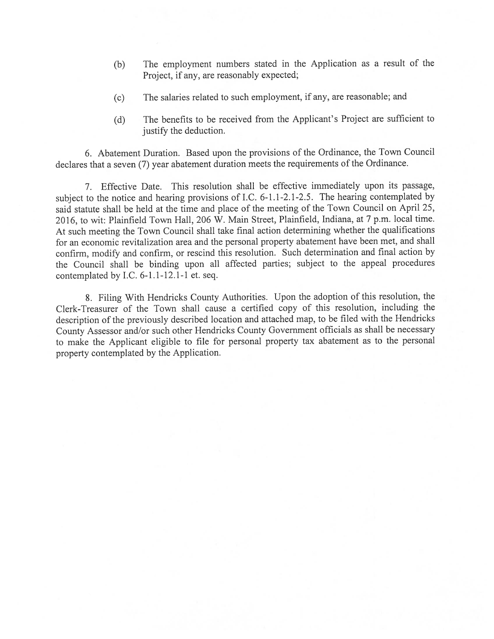- (b) The employment numbers stated in the Application as <sup>a</sup> result of the Project, if any, are reasonably expected;
- (c) The salaries related to such employment, if any, are reasonable; and
- (d) The benefits to be received from the Applicant's Project are sufficient to justify the deduction.

6. Abatement Duration. Based upon the provisions of the Ordinance, the Town Council declares that <sup>a</sup> seven (7) year abatement duration meets the requirements of the Ordinance.

7. Effective Date. This resolution shall be effective immediately upon its passage, subject to the notice and hearing provisions of 1.C. 6-1.1-2.1-2.5. The hearing contemplated by said statute shall be held at the time and <sup>p</sup>lace of the meeting of the Town Council on April 25, 2016, to wit: Plainfield Town Hall, <sup>206</sup> W. Main Street, Plainfield, Indiana, at <sup>7</sup> p.m. local time. At such meeting the Town Council shall take final action determining whether the qualifications for an economic revitalization area and the persona<sup>l</sup> property abatement have been met, and shall confirm, modify and confirm, or rescind this resolution. Such determination and final action by the Council shall be binding upon all affected parties; subject to the appea<sup>l</sup> procedures contemplated by I.C. 6-1.1-12.1-1 et. seq.

8. filing With Hendricks County Authorities. Upon the adoption of this resolution, the Clerk-Treasurer of the Town shall cause <sup>a</sup> certified copy of this resolution, including the description of the previously described location and attached map, to be filed with the Hendricks County Assessor and/or such other Hendricks County Government officials as shall be necessary to make the Applicant eligible to file for persona<sup>l</sup> property tax abatement as to the persona<sup>l</sup> property contemplated by the Application.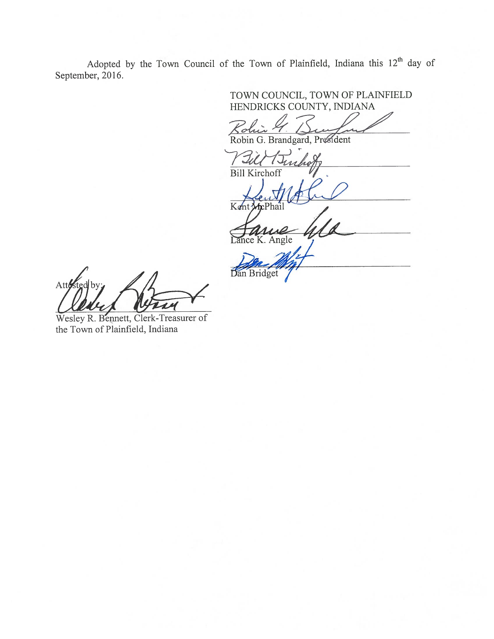Adopted by the Town Council of the Town of Plainfield, Indiana this  $12<sup>th</sup>$  day of September, 2016.

TOWN COUNCIL, TOWN OF PLAINFIELD HENDRICKS COUNTY, INDIANA  $\mathscr{L}_{\mathcal{E}}$ Robin G. Brandgard, President

Robin G. Brandgard Bill timboff

Kent McPhai Bill Kirchoff (1986)

ice K. Angle

Dan Bridget

Att  $d$ by

Wesley R. Bennett, Clerk-Treasurer of the Town of Plainfield, Indiana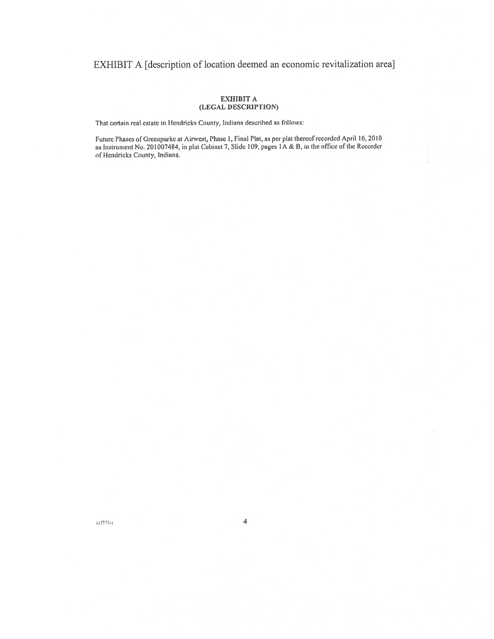## EXHIBIT A [description of location deemed an economic revitalization area]

### **EXHIBIT A** (LEGAL DESCRIPTION)

That certain real estate in Hendricks County, Indiana described as follows:

Future Phases of Greenparke at Airwest, Phase 1, Final Plat, as per plat thereof recorded April 16, 2010<br>as Instrument No. 201007484, in plat Cabinet 7, Slide 109, pages 1A & B, in the office of the Recorder of Hendricks County, Indiana.

 $617777v1$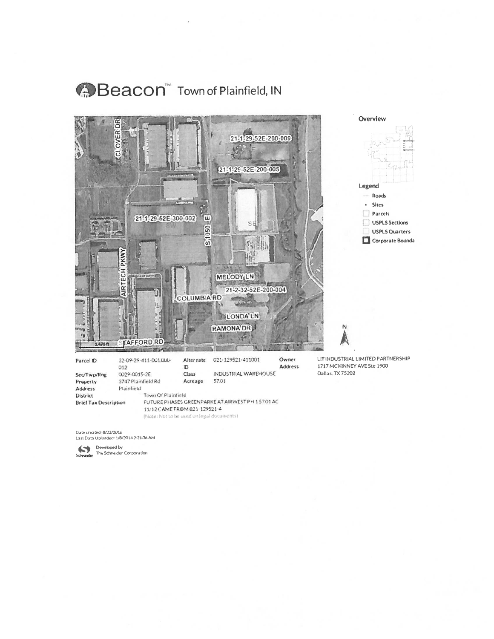# Beacon" Town of Plainfield, IN



**Address District** 

Plainfield Town Of Plainfield

**Brief Tax Description** 

FUTURE PHASES GREENPARKE AT AIRWEST PH 15701 AC 11/12 CAME FROM 021-129521-4 (Note: Not to be used on legal documents)

Date created: 8/22/2016<br>Last Data Uploaded: 1/8/2014 2:21:36 AM

Developed by<br>Schneider The Schneider Corporation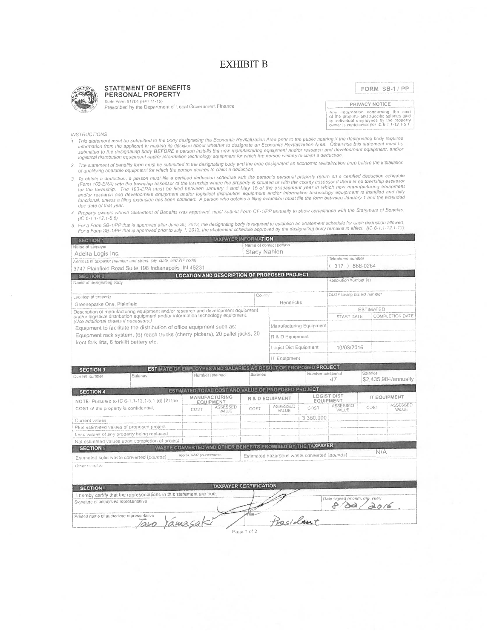## **EXHIBIT B**

### **STATEMENT OF BENEFITS** PERSONAL PROPERTY

FORM SB-1/PP

Suite Form 51764 (R4 / 11-15)

Prescribed by the Department of Local Government Finance

PRIVACY NOTICE Any information concerning the cost<br>of the property and specific salaries paid<br>to individual employees by the property<br>owner is confidential per IC 6-1.1-12,1-5.1

### INSTRUCTIONS

- his strong in the submitted to the body designating the Economic Revitalization Area prior to the public hearing if the designaling body requires information from the applicant in making its decision about whether to desig
- 2. The statement of benefits form must be submitted to the designating body and the area designated an economic revitalization area before the installation of qualifying abatable equipment for which the person desires to claim a deduction.
- 3. To obtain a deduction, a person must file a certified deduction schedule with the person's personal property return on a certified deduction schedule (Form 103-ERA) with the township assessor of the township assessor of due date of that year.
- 4. Property owners whose Statement of Benefits was approved, must submit Form CF-1/PP annually to show compliance with the Statement of Benefits.  $(IC 6-1 1-12, 1-5 6)$
- the range of the SB-17PP that is approved after June 30, 2013, the designating body is required to establish an abatement schedule for each deduction allowed.<br>For a Form SB-17PP that is approved prior to July 1, 2013, the  $\overline{S}$

| Printed name of authorized representative<br>Tavo Yamasaki                                                                 |                           |                                                             |                 | President                                    |                   |                                |                  |                      |  |
|----------------------------------------------------------------------------------------------------------------------------|---------------------------|-------------------------------------------------------------|-----------------|----------------------------------------------|-------------------|--------------------------------|------------------|----------------------|--|
|                                                                                                                            |                           |                                                             |                 |                                              |                   |                                |                  |                      |  |
| Signature of authorized representative                                                                                     |                           |                                                             |                 |                                              |                   | Date signed (month, day, year) | 20/6             |                      |  |
| I hereby certify that the representations in this statement are true.                                                      |                           |                                                             |                 |                                              |                   |                                |                  |                      |  |
| <b>SECTION 6</b>                                                                                                           |                           | <b>TAXPAYER CERTIFICATION</b>                               |                 |                                              |                   |                                |                  |                      |  |
|                                                                                                                            |                           |                                                             |                 |                                              |                   |                                |                  |                      |  |
| Other benefits:                                                                                                            |                           |                                                             |                 |                                              |                   |                                |                  |                      |  |
| Estimated solid waste converted (pourids)                                                                                  |                           |                                                             |                 | Estimated hazardous waste converted (pounds) |                   |                                |                  |                      |  |
| <b>SECTION 5</b>                                                                                                           | apprex, 6282 pounds/month |                                                             |                 |                                              |                   |                                | N/A              |                      |  |
| Net estimated values upon completion of project                                                                            |                           | WASTE CONVERTED AND OTHER BENEFITS PROMISED BY THE TAXPAYER |                 |                                              |                   |                                |                  |                      |  |
| Less values of any property being replaced                                                                                 |                           |                                                             |                 |                                              |                   |                                |                  |                      |  |
| Plus estimated values of proposed project                                                                                  |                           |                                                             |                 |                                              |                   |                                |                  |                      |  |
| Current values                                                                                                             |                           |                                                             |                 |                                              | 3.360.000         |                                |                  |                      |  |
| COST of the property is confidential.                                                                                      | COST                      | VALUE                                                       | COST            | VALUE                                        | COST              | VALUE                          |                  | VALUE                |  |
| NOTE: Pursuant to IC 6-1, 1-12, 1-5, 1 (d) (2) the                                                                         |                           | EQUIPMENT<br>ASSESSED                                       |                 | ASSESSED                                     |                   | EQUIPMENT<br>ASSESSED          | COST             | ASSESSED             |  |
|                                                                                                                            | <b>MANUFACTURING</b>      |                                                             |                 | R & D EQUIPMENT                              |                   | <b>LOGIST DIST</b>             |                  | IT EQUIPMENT         |  |
| <b>SECTION 4</b>                                                                                                           |                           | ESTIMATED TOTAL COST AND VALUE OF PROPOSED PROJECT          |                 |                                              |                   |                                |                  |                      |  |
|                                                                                                                            |                           |                                                             |                 |                                              |                   | 47                             |                  | \$2,435,984/annually |  |
| <b>SECTION 3</b><br><b>Salaries</b><br>Current number                                                                      |                           | Number retained                                             | <b>Salaries</b> |                                              | Number additional |                                | Salaries         |                      |  |
| <b>ESTIMATE OF EMPLOYEES AND SALARIES AS RESULT OF PROPOSED PROJECT</b>                                                    |                           |                                                             |                 |                                              |                   |                                |                  |                      |  |
|                                                                                                                            |                           |                                                             | IT Equipment    |                                              |                   |                                |                  |                      |  |
|                                                                                                                            |                           |                                                             |                 | Logist Dist Equipment                        |                   | 10/03/2016                     |                  |                      |  |
| Equipment rack system, (6) reach trucks (cherry pickers), 20 pallet jacks, 20<br>front fork lifts, 6 forklift battery etc. |                           |                                                             |                 | R & D Equipment                              |                   |                                |                  |                      |  |
|                                                                                                                            |                           |                                                             |                 |                                              |                   |                                |                  |                      |  |
| (Use additional sheets if necessary.)<br>Equipment to facilitate the distribution of office equipment such as:             |                           |                                                             |                 | Manufacturing Equipment                      |                   |                                |                  |                      |  |
| and/or logistical distribution equipment and/or information technology equipment.                                          |                           |                                                             |                 |                                              |                   | START DATE                     |                  | COMPLETION DATE      |  |
| Greeneparke One, Plainfield<br>Description of manufacturing equipment and/or research and development equipment            |                           |                                                             |                 |                                              |                   |                                | <b>ESTIMATED</b> |                      |  |
| Lacation of property                                                                                                       | Hendricks                 |                                                             |                 |                                              |                   |                                |                  |                      |  |
|                                                                                                                            |                           |                                                             | Coenty          |                                              |                   | OLGF taxing distoct number     |                  |                      |  |
| Name of designating body                                                                                                   |                           |                                                             |                 |                                              |                   |                                |                  |                      |  |
| <b>SECTION 2</b>                                                                                                           |                           | <b>LOCATION AND DESCRIPTION OF PROPOSED PROJECT</b>         |                 |                                              |                   | Resolution number (6)          |                  |                      |  |
| 3747 Plainfield Road Suite 198 Indianapolis IN 46231                                                                       |                           |                                                             |                 |                                              |                   | $(317) 868 - 0264$             |                  |                      |  |
| Address of taxpayer (number and street, city, state, and ZBP code)                                                         |                           |                                                             |                 |                                              |                   | Telephone number               |                  |                      |  |
| Name of taxpaver<br>Adelta Logis Inc.                                                                                      |                           |                                                             |                 | Stacy Nahlen                                 |                   |                                |                  |                      |  |
|                                                                                                                            |                           |                                                             |                 | Name of contact person                       |                   |                                |                  |                      |  |

Page 1 of 2